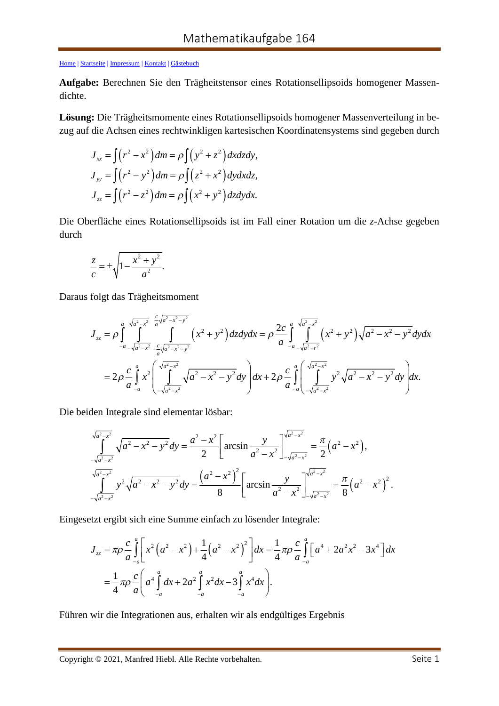[Home |](http://www.manfredhiebl.de/) [Startseite](http://www.manfredhiebl.de/Mathematik/mathematikaufgaben.htm) [| Impressum](http://www.manfredhiebl.de/impressum.htm) [| Kontakt |](mailto:Manfred.Hiebl@t-online.de) [Gästebuch](http://www.manfredhiebl.de/guestbook125661onetwomax.pdf)

**Aufgabe:** Berechnen Sie den Trägheitstensor eines Rotationsellipsoids homogener Massendichte.

**Lösung:** Die Trägheitsmomente eines Rotationsellipsoids homogener Massenverteilung in bezug auf die Achsen eines rechtwinkligen kartesischen Koordinatensystems sind gegeben durch

$$
J_{xx} = \int (r^2 - x^2) dm = \rho \int (y^2 + z^2) dx dz dy,
$$
  
\n
$$
J_{yy} = \int (r^2 - y^2) dm = \rho \int (z^2 + x^2) dy dx dz,
$$
  
\n
$$
J_{zz} = \int (r^2 - z^2) dm = \rho \int (x^2 + y^2) dz dy dx.
$$

Die Oberfläche eines Rotationsellipsoids ist im Fall einer Rotation um die *z*-Achse gegeben durch

$$
\frac{z}{c} = \pm \sqrt{1 - \frac{x^2 + y^2}{a^2}}.
$$

Daraus folgt das Trägheitsmoment

$$
J_{zz} = \rho \int_{-a}^{a} \int_{\sqrt{a^2 - x^2}}^{\sqrt{a^2 - x^2}} \int_{-\sqrt{a^2 - x^2}}^{\sqrt{a^2 - x^2 - y^2}} \left( x^2 + y^2 \right) dz dy dx = \rho \frac{2c}{a} \int_{-a}^{a} \int_{-\sqrt{a^2 - x^2}}^{\sqrt{a^2 - x^2}} \left( x^2 + y^2 \right) \sqrt{a^2 - x^2 - y^2} dy dx
$$
  
=  $2\rho \frac{c}{a} \int_{-a}^{a} x^2 \left( \int_{-\sqrt{a^2 - x^2}}^{\sqrt{a^2 - x^2}} \sqrt{a^2 - x^2 - y^2} dy \right) dx + 2\rho \frac{c}{a} \int_{-a}^{a} \left( \int_{-\sqrt{a^2 - x^2}}^{\sqrt{a^2 - x^2}} y^2 \sqrt{a^2 - x^2 - y^2} dy \right) dx.$ 

Die beiden Integrale sind elementar lösbar:

$$
\int_{-\sqrt{a^2-x^2}}^{\sqrt{a^2-x^2}} \sqrt{a^2-x^2-y^2} dy = \frac{a^2-x^2}{2} \left[ \arcsin \frac{y}{a^2-x^2} \right]_{-\sqrt{a^2-x^2}}^{\sqrt{a^2-x^2}} = \frac{\pi}{2} (a^2-x^2),
$$
  

$$
\int_{-\sqrt{a^2-x^2}}^{\sqrt{a^2-x^2}} y^2 \sqrt{a^2-x^2-y^2} dy = \frac{(a^2-x^2)^2}{8} \left[ \arcsin \frac{y}{a^2-x^2} \right]_{-\sqrt{a^2-x^2}}^{\sqrt{a^2-x^2}} = \frac{\pi}{8} (a^2-x^2)^2.
$$

Eingesetzt ergibt sich eine Summe einfach zu lösender Integrale:

$$
J_{zz} = \pi \rho \frac{c}{a} \int_{-a}^{a} \left[ x^2 \left( a^2 - x^2 \right) + \frac{1}{4} \left( a^2 - x^2 \right)^2 \right] dx = \frac{1}{4} \pi \rho \frac{c}{a} \int_{-a}^{a} \left[ a^4 + 2a^2 x^2 - 3x^4 \right] dx
$$
  
=  $\frac{1}{4} \pi \rho \frac{c}{a} \left( a^4 \int_{-a}^{a} dx + 2a^2 \int_{-a}^{a} x^2 dx - 3 \int_{-a}^{a} x^4 dx \right).$ 

Führen wir die Integrationen aus, erhalten wir als endgültiges Ergebnis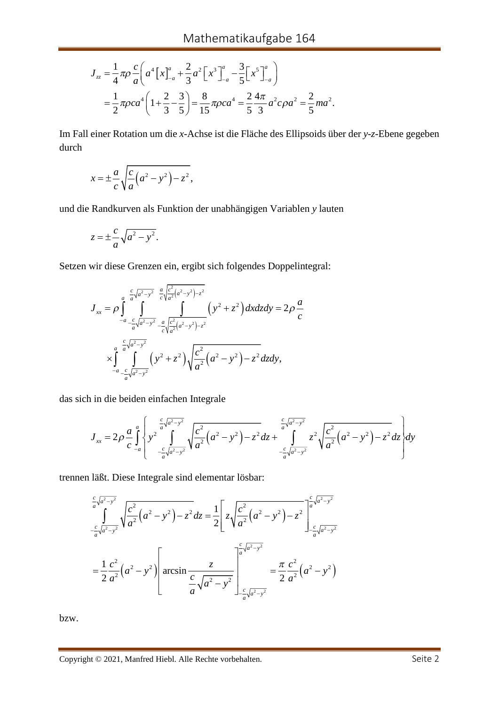$$
J_{zz} = \frac{1}{4} \pi \rho \frac{c}{a} \left( a^4 \left[ x \right]_{-a}^a + \frac{2}{3} a^2 \left[ x^3 \right]_{-a}^a - \frac{3}{5} \left[ x^5 \right]_{-a}^a \right)
$$
  
=  $\frac{1}{2} \pi \rho c a^4 \left( 1 + \frac{2}{3} - \frac{3}{5} \right) = \frac{8}{15} \pi \rho c a^4 = \frac{2}{5} \frac{4 \pi}{3} a^2 c \rho a^2 = \frac{2}{5} m a^2.$ 

Im Fall einer Rotation um die *x*-Achse ist die Fläche des Ellipsoids über der *y*-*z*-Ebene gegeben durch

$$
x = \pm \frac{a}{c} \sqrt{\frac{c}{a} (a^2 - y^2) - z^2},
$$

und die Randkurven als Funktion der unabhängigen Variablen *y* lauten

$$
z = \pm \frac{c}{a} \sqrt{a^2 - y^2}.
$$

Setzen wir diese Grenzen ein, ergibt sich folgendes Doppelintegral:

$$
J_{xx} = \rho \int_{-a}^{a} \int_{-\frac{c}{a}\sqrt{a^{2}-y^{2}}}^{\frac{c}{a}\sqrt{a^{2}-y^{2}}} \frac{e^{2}}{c^{2}(a^{2}-y^{2})-z^{2}} \left(y^{2}+z^{2}\right) dxdzdy = 2\rho \frac{a}{c}
$$
  

$$
\times \int_{-a}^{a} \frac{\frac{c}{a}\sqrt{a^{2}-y^{2}}}{\int_{-a}^{a}\sqrt{a^{2}-y^{2}}} \left(y^{2}+z^{2}\right) \sqrt{\frac{c^{2}}{a^{2}}(a^{2}-y^{2})-z^{2}} dzdy,
$$

das sich in die beiden einfachen Integrale

$$
J_{xx} = 2\rho \frac{a}{c} \int_{-a}^{a} \left\{ y^2 \int_{-\frac{c}{a} \sqrt{a^2 - y^2}}^{\frac{c}{a} \sqrt{a^2 - y^2}} \sqrt{\frac{c^2}{a^2} (a^2 - y^2) - z^2} dz + \int_{-\frac{c}{a} \sqrt{a^2 - y^2}}^{\frac{c}{a} \sqrt{a^2 - y^2}} z^2 \sqrt{\frac{c^2}{a^2} (a^2 - y^2) - z^2} dz \right\} dy
$$

trennen läßt. Diese Integrale sind elementar lösbar:

$$
\frac{\int_{c}^{c} \sqrt{a^{2}-y^{2}}}{\int_{-a}^{c} \sqrt{a^{2}-y^{2}}} \sqrt{\frac{c^{2}}{a^{2}}(a^{2}-y^{2}) - z^{2}} dz = \frac{1}{2} \left[ z \sqrt{\frac{c^{2}}{a^{2}}(a^{2}-y^{2}) - z^{2}} \right]_{-a}^{c} \sqrt{a^{2}-y^{2}}} = \frac{1}{2} \frac{c^{2}}{a^{2}} (a^{2}-y^{2}) \left[ \arcsin \frac{z}{a} \sqrt{a^{2}-y^{2}} \right]_{-a}^{c} \sqrt{a^{2}-y^{2}}} = \frac{\pi}{2} \frac{c^{2}}{a^{2}} (a^{2}-y^{2})
$$

bzw.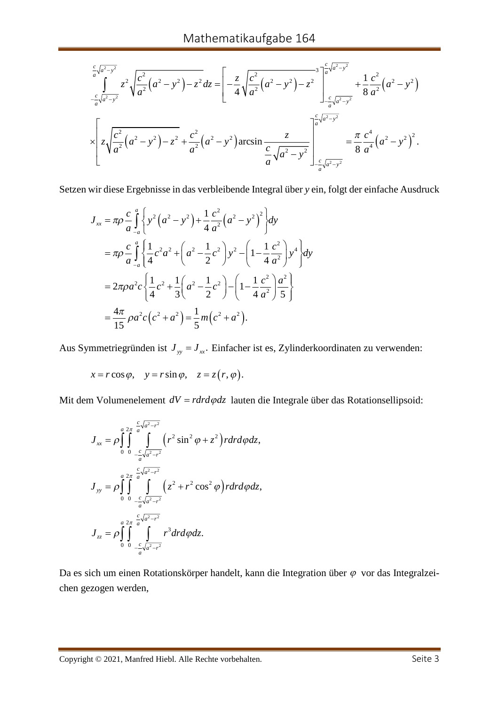$$
\frac{\int_{c}^{c} \sqrt{a^{2}-y^{2}}}{a} z^{2} \sqrt{\frac{c^{2}}{a^{2}} (a^{2}-y^{2}) - z^{2}} dz = \left[ -\frac{z}{4} \sqrt{\frac{c^{2}}{a^{2}} (a^{2}-y^{2}) - z^{2}} \right]_{c}^{a} \sqrt{\frac{c}{a^{2}-y^{2}}} + \frac{1}{8} \frac{c^{2}}{a^{2}} (a^{2}-y^{2})
$$
  

$$
\times \left[ z \sqrt{\frac{c^{2}}{a^{2}} (a^{2}-y^{2}) - z^{2}} + \frac{c^{2}}{a^{2}} (a^{2}-y^{2}) \arcsin \frac{z}{a} \sqrt{a^{2}-y^{2}} \right]_{c}^{a} \sqrt{a^{2}-y^{2}}} = \frac{\pi}{8} \frac{c^{4}}{a^{4}} (a^{2}-y^{2})^{2}.
$$

Setzen wir diese Ergebnisse in das verbleibende Integral über *y* ein, folgt der einfache Ausdruck

$$
J_{xx} = \pi \rho \frac{c}{a} \int_{-a}^{a} \left\{ y^2 \left( a^2 - y^2 \right) + \frac{1}{4} \frac{c^2}{a^2} \left( a^2 - y^2 \right)^2 \right\} dy
$$
  
\n
$$
= \pi \rho \frac{c}{a} \int_{-a}^{a} \left\{ \frac{1}{4} c^2 a^2 + \left( a^2 - \frac{1}{2} c^2 \right) y^2 - \left( 1 - \frac{1}{4} \frac{c^2}{a^2} \right) y^4 \right\} dy
$$
  
\n
$$
= 2\pi \rho a^2 c \left\{ \frac{1}{4} c^2 + \frac{1}{3} \left( a^2 - \frac{1}{2} c^2 \right) - \left( 1 - \frac{1}{4} \frac{c^2}{a^2} \right) \frac{a^2}{5} \right\}
$$
  
\n
$$
= \frac{4\pi}{15} \rho a^2 c \left( c^2 + a^2 \right) = \frac{1}{5} m \left( c^2 + a^2 \right).
$$

Aus Symmetriegründen ist  $J_{yy} = J_{xx}$ . Einfacher ist es, Zylinderkoordinaten zu verwenden:

$$
x = r \cos \varphi
$$
,  $y = r \sin \varphi$ ,  $z = z(r, \varphi)$ .

Mit dem Volumenelement  $dV = r dr d\varphi dz$  lauten die Integrale über das Rotationsellipsoid:

$$
J_{xx} = \rho \int_{0}^{a} \int_{0}^{2\pi} \int_{-\frac{c}{a} \sqrt{a^{2}-r^{2}}}^{\frac{c}{a} \sqrt{a^{2}-r^{2}}} \left(r^{2} \sin^{2} \varphi + z^{2}\right) r dr d\varphi dz,
$$
  
\n
$$
J_{yy} = \rho \int_{0}^{a} \int_{0}^{2\pi} \int_{-\frac{c}{a} \sqrt{a^{2}-r^{2}}}^{\frac{c}{a} \sqrt{a^{2}-r^{2}}} \left(z^{2}+r^{2} \cos^{2} \varphi\right) r dr d\varphi dz,
$$
  
\n
$$
J_{zz} = \rho \int_{0}^{a} \int_{0}^{2\pi} \int_{-\frac{c}{a} \sqrt{a^{2}-r^{2}}}^{a^{2} \sqrt{a^{2}-r^{2}}} r^{3} dr d\varphi dz.
$$

Da es sich um einen Rotationskörper handelt, kann die Integration über  $\varphi$  vor das Integralzeichen gezogen werden,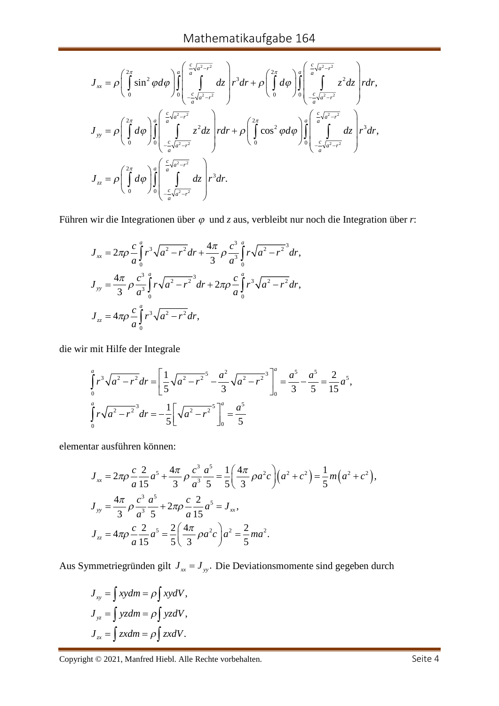$$
J_{xx} = \rho \left( \int_0^{2\pi} \sin^2 \varphi d\varphi \right) \int_0^a \left( \int_0^{\frac{c}{a} \sqrt{a^2 - r^2}} dz \right) r^3 dr + \rho \left( \int_0^{2\pi} d\varphi \right) \int_0^a \left( \int_0^{\frac{c}{a} \sqrt{a^2 - r^2}} z^2 dz \right) r dr,
$$
  

$$
J_{yy} = \rho \left( \int_0^{2\pi} d\varphi \right) \int_0^a \left( \int_0^{\frac{c}{a} \sqrt{a^2 - r^2}} z^2 dz \right) r dr + \rho \left( \int_0^{2\pi} \cos^2 \varphi d\varphi \right) \int_0^a \left( \int_0^{\frac{c}{a} \sqrt{a^2 - r^2}} dz \right) r^3 dr,
$$
  

$$
J_{zz} = \rho \left( \int_0^{2\pi} d\varphi \right) \int_0^a \left( \int_0^{\frac{c}{a} \sqrt{a^2 - r^2}} dz \right) r^3 dr.
$$

Führen wir die Integrationen über  $\varphi$  und *z* aus, verbleibt nur noch die Integration über *r*:

$$
J_{xx} = 2\pi \rho \frac{c}{a} \int_0^a r^3 \sqrt{a^2 - r^2} dr + \frac{4\pi}{3} \rho \frac{c^3}{a^3} \int_0^a r \sqrt{a^2 - r^2} dr,
$$
  
\n
$$
J_{yy} = \frac{4\pi}{3} \rho \frac{c^3}{a^3} \int_0^a r \sqrt{a^2 - r^2} dr + 2\pi \rho \frac{c}{a} \int_0^a r^3 \sqrt{a^2 - r^2} dr,
$$
  
\n
$$
J_{zz} = 4\pi \rho \frac{c}{a} \int_0^a r^3 \sqrt{a^2 - r^2} dr,
$$

die wir mit Hilfe der Integrale

$$
\int_{0}^{a} r^{3} \sqrt{a^{2} - r^{2}} dr = \left[ \frac{1}{5} \sqrt{a^{2} - r^{2}} - \frac{a^{2}}{3} \sqrt{a^{2} - r^{2}} \right]_{0}^{a} = \frac{a^{5}}{3} - \frac{a^{5}}{5} = \frac{2}{15} a^{5},
$$
  

$$
\int_{0}^{a} r \sqrt{a^{2} - r^{2}} dr = -\frac{1}{5} \left[ \sqrt{a^{2} - r^{2}} \right]_{0}^{a} = \frac{a^{5}}{5}
$$

elementar ausführen können:

$$
J_{xx} = 2\pi \rho \frac{c}{a} \frac{2}{15} a^5 + \frac{4\pi}{3} \rho \frac{c^3}{a^3} \frac{a^5}{5} = \frac{1}{5} \left( \frac{4\pi}{3} \rho a^2 c \right) \left( a^2 + c^2 \right) = \frac{1}{5} m \left( a^2 + c^2 \right),
$$
  
\n
$$
J_{yy} = \frac{4\pi}{3} \rho \frac{c^3}{a^3} \frac{a^5}{5} + 2\pi \rho \frac{c}{a} \frac{2}{15} a^5 = J_{xx},
$$
  
\n
$$
J_{zz} = 4\pi \rho \frac{c}{a} \frac{2}{15} a^5 = \frac{2}{5} \left( \frac{4\pi}{3} \rho a^2 c \right) a^2 = \frac{2}{5} m a^2.
$$

Aus Symmetriegründen gilt  $J_{xx} = J_{yy}$ . Die Deviationsmomente sind gegeben durch

$$
J_{xy} = \int xydm = \rho \int xydV,
$$
  
\n
$$
J_{yz} = \int yzdm = \rho \int yzdV,
$$
  
\n
$$
J_{zx} = \int zxdm = \rho \int zxdV.
$$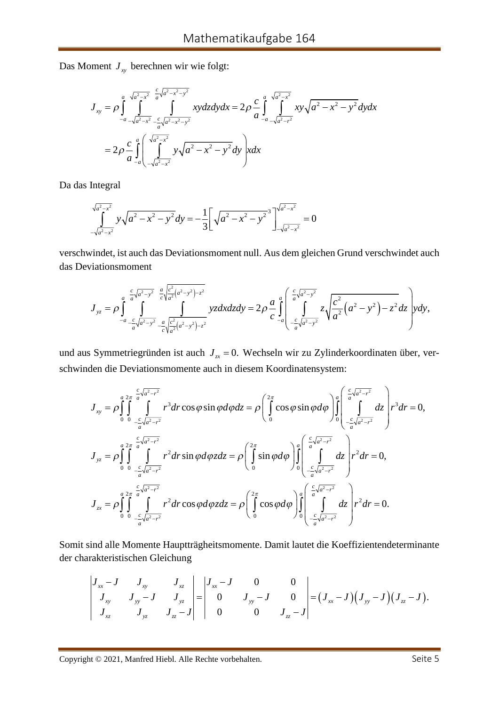Das Moment  $J_{xy}$  berechnen wir wie folgt:

$$
J_{xy} = \rho \int_{-a}^{a} \int_{\sqrt{a^2 - x^2}}^{\sqrt{a^2 - x^2}} \int_{-\sqrt{a^2 - x^2}}^{\sqrt{a^2 - x^2 - y^2}} xy \, dz \, dy \, dx = 2\rho \frac{c}{a} \int_{-a}^{a} \int_{-\sqrt{a^2 - x^2}}^{\sqrt{a^2 - x^2}} xy \sqrt{a^2 - x^2 - y^2} \, dy \, dx
$$
\n
$$
= 2\rho \frac{c}{a} \int_{-a}^{a} \left( \int_{-\sqrt{a^2 - x^2}}^{\sqrt{a^2 - x^2}} y \sqrt{a^2 - x^2 - y^2} \, dy \right) x \, dx
$$

Da das Integral

$$
\int_{-\sqrt{a^2-x^2}}^{\sqrt{a^2-x^2}} y\sqrt{a^2-x^2-y^2} dy = -\frac{1}{3} \left[ \sqrt{a^2-x^2-y^2}^3 \right]_{-\sqrt{a^2-x^2}}^{\sqrt{a^2-x^2}} = 0
$$

verschwindet, ist auch das Deviationsmoment null. Aus dem gleichen Grund verschwindet auch das Deviationsmoment

$$
J_{yz} = \rho \int_{-a}^{a} \int_{-\frac{c}{a}\sqrt{a^2-y^2}}^{\frac{c}{a}\sqrt{a^2-a^2}} \int_{-\frac{c}{a}\sqrt{a^2-a^2}}^{\frac{c^2}{a^2(a^2-y^2)-z^2}} yz dx dz dy = 2\rho \frac{a}{c} \int_{-a}^{a} \int_{-\frac{c}{a}\sqrt{a^2-y^2}}^{\frac{c}{a}\sqrt{a^2-y^2}} z \sqrt{\frac{c^2}{a^2}(a^2-y^2)-z^2} dz dy,
$$

und aus Symmetriegründen ist auch  $J_{\alpha} = 0$ . Wechseln wir zu Zylinderkoordinaten über, verschwinden die Deviationsmomente auch in diesem Koordinatensystem:

$$
J_{xy} = \rho \int_{0}^{a} \int_{0}^{2\pi} \int_{-\frac{c}{a} \sqrt{a^{2}-r^{2}}}^{c \sqrt{a^{2}-r^{2}}} r^{3} dr \cos \varphi \sin \varphi d\varphi dz = \rho \left( \int_{0}^{2\pi} \cos \varphi \sin \varphi d\varphi \right) \int_{0}^{a} \left( \int_{-\frac{c}{a} \sqrt{a^{2}-r^{2}}}^{c \sqrt{a^{2}-r^{2}}} dz \right) r^{3} dr = 0,
$$
  

$$
J_{yz} = \rho \int_{0}^{a} \int_{0}^{2\pi} \int_{-\frac{c}{a} \sqrt{a^{2}-r^{2}}}^{c \sqrt{a^{2}-r^{2}}} r^{2} dr \sin \varphi d\varphi z dz = \rho \left( \int_{0}^{2\pi} \sin \varphi d\varphi \right) \int_{0}^{a} \left( \int_{-\frac{c}{a} \sqrt{a^{2}-r^{2}}}^{c \sqrt{a^{2}-r^{2}}} dz \right) r^{2} dr = 0,
$$
  

$$
J_{zx} = \rho \int_{0}^{a} \int_{0}^{2\pi} \int_{-\frac{c}{a} \sqrt{a^{2}-r^{2}}}^{c \sqrt{a^{2}-r^{2}}} r^{2} dr \cos \varphi d\varphi z dz = \rho \left( \int_{0}^{2\pi} \cos \varphi d\varphi \right) \int_{0}^{a} \left( \int_{-\frac{c}{a} \sqrt{a^{2}-r^{2}}}^{c \sqrt{a^{2}-r^{2}}} dz \right) r^{2} dr = 0.
$$

Somit sind alle Momente Hauptträgheitsmomente. Damit lautet die Koeffizientendeterminante der charakteristischen Gleichung

$$
\begin{vmatrix} J_{xx}-J & J_{xy} & J_{xz} \\ J_{xy} & J_{yy}-J & J_{yz} \\ J_{xz} & J_{yz} & J_{zz}-J \end{vmatrix} = \begin{vmatrix} J_{xx}-J & 0 & 0 \\ 0 & J_{yy}-J & 0 \\ 0 & 0 & J_{zz}-J \end{vmatrix} = (J_{xx}-J)(J_{yy}-J)(J_{zz}-J).
$$